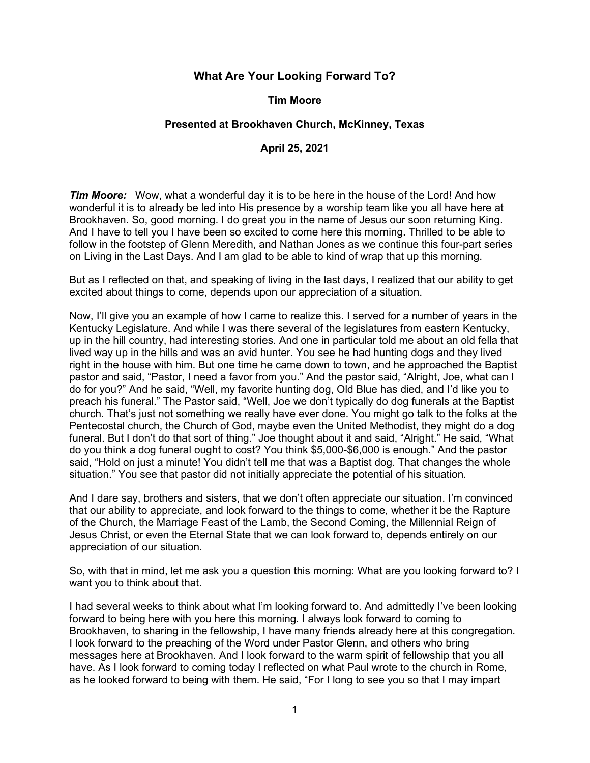# **What Are Your Looking Forward To?**

## **Tim Moore**

## **Presented at Brookhaven Church, McKinney, Texas**

#### **April 25, 2021**

*Tim Moore:* Wow, what a wonderful day it is to be here in the house of the Lord! And how wonderful it is to already be led into His presence by a worship team like you all have here at Brookhaven. So, good morning. I do great you in the name of Jesus our soon returning King. And I have to tell you I have been so excited to come here this morning. Thrilled to be able to follow in the footstep of Glenn Meredith, and Nathan Jones as we continue this four-part series on Living in the Last Days. And I am glad to be able to kind of wrap that up this morning.

But as I reflected on that, and speaking of living in the last days, I realized that our ability to get excited about things to come, depends upon our appreciation of a situation.

Now, I'll give you an example of how I came to realize this. I served for a number of years in the Kentucky Legislature. And while I was there several of the legislatures from eastern Kentucky, up in the hill country, had interesting stories. And one in particular told me about an old fella that lived way up in the hills and was an avid hunter. You see he had hunting dogs and they lived right in the house with him. But one time he came down to town, and he approached the Baptist pastor and said, "Pastor, I need a favor from you." And the pastor said, "Alright, Joe, what can I do for you?" And he said, "Well, my favorite hunting dog, Old Blue has died, and I'd like you to preach his funeral." The Pastor said, "Well, Joe we don't typically do dog funerals at the Baptist church. That's just not something we really have ever done. You might go talk to the folks at the Pentecostal church, the Church of God, maybe even the United Methodist, they might do a dog funeral. But I don't do that sort of thing." Joe thought about it and said, "Alright." He said, "What do you think a dog funeral ought to cost? You think \$5,000-\$6,000 is enough." And the pastor said, "Hold on just a minute! You didn't tell me that was a Baptist dog. That changes the whole situation." You see that pastor did not initially appreciate the potential of his situation.

And I dare say, brothers and sisters, that we don't often appreciate our situation. I'm convinced that our ability to appreciate, and look forward to the things to come, whether it be the Rapture of the Church, the Marriage Feast of the Lamb, the Second Coming, the Millennial Reign of Jesus Christ, or even the Eternal State that we can look forward to, depends entirely on our appreciation of our situation.

So, with that in mind, let me ask you a question this morning: What are you looking forward to? I want you to think about that.

I had several weeks to think about what I'm looking forward to. And admittedly I've been looking forward to being here with you here this morning. I always look forward to coming to Brookhaven, to sharing in the fellowship, I have many friends already here at this congregation. I look forward to the preaching of the Word under Pastor Glenn, and others who bring messages here at Brookhaven. And I look forward to the warm spirit of fellowship that you all have. As I look forward to coming today I reflected on what Paul wrote to the church in Rome, as he looked forward to being with them. He said, "For I long to see you so that I may impart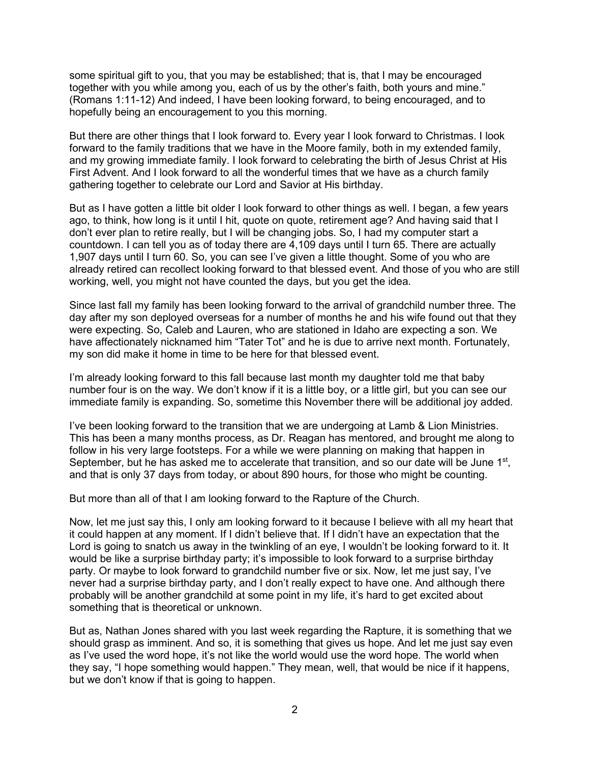some spiritual gift to you, that you may be established; that is, that I may be encouraged together with you while among you, each of us by the other's faith, both yours and mine." (Romans 1:11-12) And indeed, I have been looking forward, to being encouraged, and to hopefully being an encouragement to you this morning.

But there are other things that I look forward to. Every year I look forward to Christmas. I look forward to the family traditions that we have in the Moore family, both in my extended family, and my growing immediate family. I look forward to celebrating the birth of Jesus Christ at His First Advent. And I look forward to all the wonderful times that we have as a church family gathering together to celebrate our Lord and Savior at His birthday.

But as I have gotten a little bit older I look forward to other things as well. I began, a few years ago, to think, how long is it until I hit, quote on quote, retirement age? And having said that I don't ever plan to retire really, but I will be changing jobs. So, I had my computer start a countdown. I can tell you as of today there are 4,109 days until I turn 65. There are actually 1,907 days until I turn 60. So, you can see I've given a little thought. Some of you who are already retired can recollect looking forward to that blessed event. And those of you who are still working, well, you might not have counted the days, but you get the idea.

Since last fall my family has been looking forward to the arrival of grandchild number three. The day after my son deployed overseas for a number of months he and his wife found out that they were expecting. So, Caleb and Lauren, who are stationed in Idaho are expecting a son. We have affectionately nicknamed him "Tater Tot" and he is due to arrive next month. Fortunately, my son did make it home in time to be here for that blessed event.

I'm already looking forward to this fall because last month my daughter told me that baby number four is on the way. We don't know if it is a little boy, or a little girl, but you can see our immediate family is expanding. So, sometime this November there will be additional joy added.

I've been looking forward to the transition that we are undergoing at Lamb & Lion Ministries. This has been a many months process, as Dr. Reagan has mentored, and brought me along to follow in his very large footsteps. For a while we were planning on making that happen in September, but he has asked me to accelerate that transition, and so our date will be June 1<sup>st</sup>, and that is only 37 days from today, or about 890 hours, for those who might be counting.

But more than all of that I am looking forward to the Rapture of the Church.

Now, let me just say this, I only am looking forward to it because I believe with all my heart that it could happen at any moment. If I didn't believe that. If I didn't have an expectation that the Lord is going to snatch us away in the twinkling of an eye, I wouldn't be looking forward to it. It would be like a surprise birthday party; it's impossible to look forward to a surprise birthday party. Or maybe to look forward to grandchild number five or six. Now, let me just say, I've never had a surprise birthday party, and I don't really expect to have one. And although there probably will be another grandchild at some point in my life, it's hard to get excited about something that is theoretical or unknown.

But as, Nathan Jones shared with you last week regarding the Rapture, it is something that we should grasp as imminent. And so, it is something that gives us hope. And let me just say even as I've used the word hope, it's not like the world would use the word hope. The world when they say, "I hope something would happen." They mean, well, that would be nice if it happens, but we don't know if that is going to happen.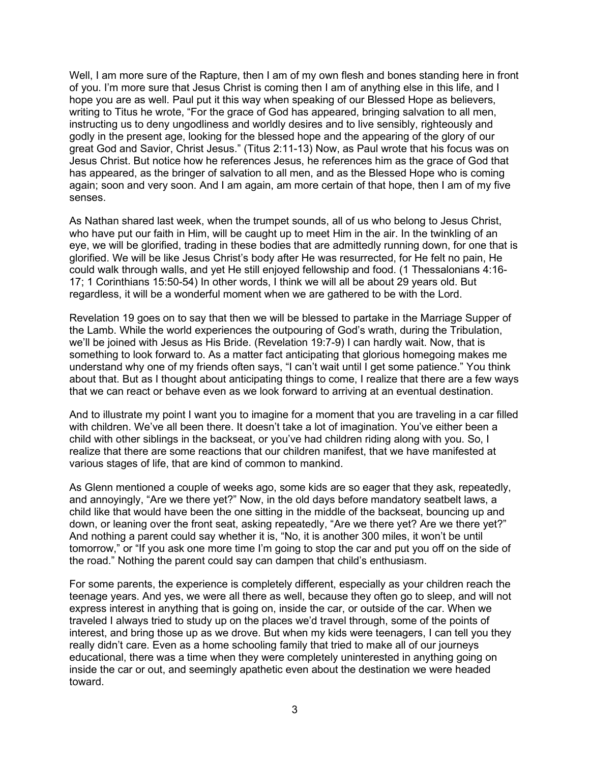Well, I am more sure of the Rapture, then I am of my own flesh and bones standing here in front of you. I'm more sure that Jesus Christ is coming then I am of anything else in this life, and I hope you are as well. Paul put it this way when speaking of our Blessed Hope as believers, writing to Titus he wrote, "For the grace of God has appeared, bringing salvation to all men, instructing us to deny ungodliness and worldly desires and to live sensibly, righteously and godly in the present age, looking for the blessed hope and the appearing of the glory of our great God and Savior, Christ Jesus." (Titus 2:11-13) Now, as Paul wrote that his focus was on Jesus Christ. But notice how he references Jesus, he references him as the grace of God that has appeared, as the bringer of salvation to all men, and as the Blessed Hope who is coming again; soon and very soon. And I am again, am more certain of that hope, then I am of my five senses.

As Nathan shared last week, when the trumpet sounds, all of us who belong to Jesus Christ, who have put our faith in Him, will be caught up to meet Him in the air. In the twinkling of an eye, we will be glorified, trading in these bodies that are admittedly running down, for one that is glorified. We will be like Jesus Christ's body after He was resurrected, for He felt no pain, He could walk through walls, and yet He still enjoyed fellowship and food. (1 Thessalonians 4:16- 17; 1 Corinthians 15:50-54) In other words, I think we will all be about 29 years old. But regardless, it will be a wonderful moment when we are gathered to be with the Lord.

Revelation 19 goes on to say that then we will be blessed to partake in the Marriage Supper of the Lamb. While the world experiences the outpouring of God's wrath, during the Tribulation, we'll be joined with Jesus as His Bride. (Revelation 19:7-9) I can hardly wait. Now, that is something to look forward to. As a matter fact anticipating that glorious homegoing makes me understand why one of my friends often says, "I can't wait until I get some patience." You think about that. But as I thought about anticipating things to come, I realize that there are a few ways that we can react or behave even as we look forward to arriving at an eventual destination.

And to illustrate my point I want you to imagine for a moment that you are traveling in a car filled with children. We've all been there. It doesn't take a lot of imagination. You've either been a child with other siblings in the backseat, or you've had children riding along with you. So, I realize that there are some reactions that our children manifest, that we have manifested at various stages of life, that are kind of common to mankind.

As Glenn mentioned a couple of weeks ago, some kids are so eager that they ask, repeatedly, and annoyingly, "Are we there yet?" Now, in the old days before mandatory seatbelt laws, a child like that would have been the one sitting in the middle of the backseat, bouncing up and down, or leaning over the front seat, asking repeatedly, "Are we there yet? Are we there yet?" And nothing a parent could say whether it is, "No, it is another 300 miles, it won't be until tomorrow," or "If you ask one more time I'm going to stop the car and put you off on the side of the road." Nothing the parent could say can dampen that child's enthusiasm.

For some parents, the experience is completely different, especially as your children reach the teenage years. And yes, we were all there as well, because they often go to sleep, and will not express interest in anything that is going on, inside the car, or outside of the car. When we traveled I always tried to study up on the places we'd travel through, some of the points of interest, and bring those up as we drove. But when my kids were teenagers, I can tell you they really didn't care. Even as a home schooling family that tried to make all of our journeys educational, there was a time when they were completely uninterested in anything going on inside the car or out, and seemingly apathetic even about the destination we were headed toward.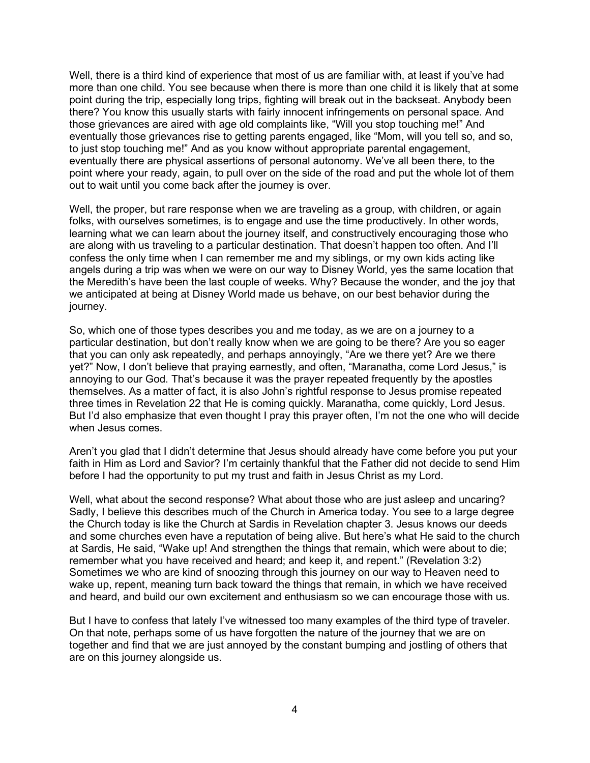Well, there is a third kind of experience that most of us are familiar with, at least if you've had more than one child. You see because when there is more than one child it is likely that at some point during the trip, especially long trips, fighting will break out in the backseat. Anybody been there? You know this usually starts with fairly innocent infringements on personal space. And those grievances are aired with age old complaints like, "Will you stop touching me!" And eventually those grievances rise to getting parents engaged, like "Mom, will you tell so, and so, to just stop touching me!" And as you know without appropriate parental engagement, eventually there are physical assertions of personal autonomy. We've all been there, to the point where your ready, again, to pull over on the side of the road and put the whole lot of them out to wait until you come back after the journey is over.

Well, the proper, but rare response when we are traveling as a group, with children, or again folks, with ourselves sometimes, is to engage and use the time productively. In other words, learning what we can learn about the journey itself, and constructively encouraging those who are along with us traveling to a particular destination. That doesn't happen too often. And I'll confess the only time when I can remember me and my siblings, or my own kids acting like angels during a trip was when we were on our way to Disney World, yes the same location that the Meredith's have been the last couple of weeks. Why? Because the wonder, and the joy that we anticipated at being at Disney World made us behave, on our best behavior during the journey.

So, which one of those types describes you and me today, as we are on a journey to a particular destination, but don't really know when we are going to be there? Are you so eager that you can only ask repeatedly, and perhaps annoyingly, "Are we there yet? Are we there yet?" Now, I don't believe that praying earnestly, and often, "Maranatha, come Lord Jesus," is annoying to our God. That's because it was the prayer repeated frequently by the apostles themselves. As a matter of fact, it is also John's rightful response to Jesus promise repeated three times in Revelation 22 that He is coming quickly. Maranatha, come quickly, Lord Jesus. But I'd also emphasize that even thought I pray this prayer often, I'm not the one who will decide when Jesus comes.

Aren't you glad that I didn't determine that Jesus should already have come before you put your faith in Him as Lord and Savior? I'm certainly thankful that the Father did not decide to send Him before I had the opportunity to put my trust and faith in Jesus Christ as my Lord.

Well, what about the second response? What about those who are just asleep and uncaring? Sadly, I believe this describes much of the Church in America today. You see to a large degree the Church today is like the Church at Sardis in Revelation chapter 3. Jesus knows our deeds and some churches even have a reputation of being alive. But here's what He said to the church at Sardis, He said, "Wake up! And strengthen the things that remain, which were about to die; remember what you have received and heard; and keep it, and repent." (Revelation 3:2) Sometimes we who are kind of snoozing through this journey on our way to Heaven need to wake up, repent, meaning turn back toward the things that remain, in which we have received and heard, and build our own excitement and enthusiasm so we can encourage those with us.

But I have to confess that lately I've witnessed too many examples of the third type of traveler. On that note, perhaps some of us have forgotten the nature of the journey that we are on together and find that we are just annoyed by the constant bumping and jostling of others that are on this journey alongside us.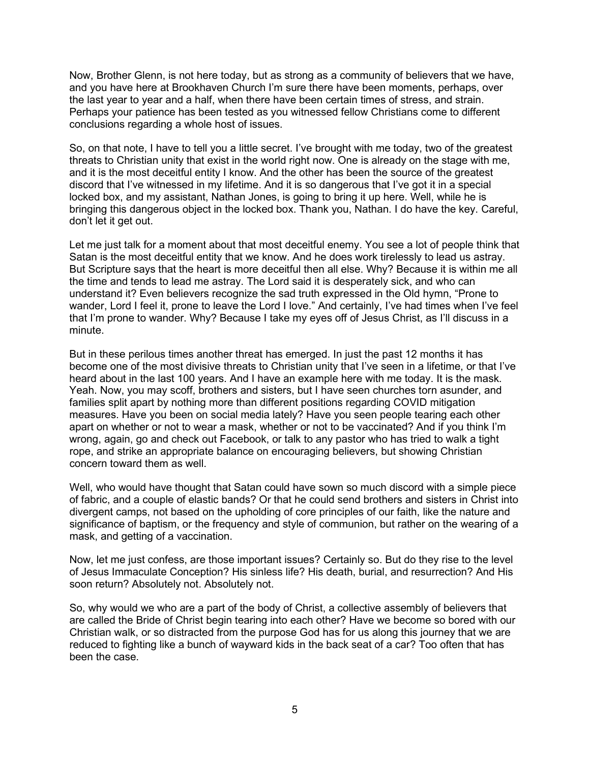Now, Brother Glenn, is not here today, but as strong as a community of believers that we have, and you have here at Brookhaven Church I'm sure there have been moments, perhaps, over the last year to year and a half, when there have been certain times of stress, and strain. Perhaps your patience has been tested as you witnessed fellow Christians come to different conclusions regarding a whole host of issues.

So, on that note, I have to tell you a little secret. I've brought with me today, two of the greatest threats to Christian unity that exist in the world right now. One is already on the stage with me, and it is the most deceitful entity I know. And the other has been the source of the greatest discord that I've witnessed in my lifetime. And it is so dangerous that I've got it in a special locked box, and my assistant, Nathan Jones, is going to bring it up here. Well, while he is bringing this dangerous object in the locked box. Thank you, Nathan. I do have the key. Careful, don't let it get out.

Let me just talk for a moment about that most deceitful enemy. You see a lot of people think that Satan is the most deceitful entity that we know. And he does work tirelessly to lead us astray. But Scripture says that the heart is more deceitful then all else. Why? Because it is within me all the time and tends to lead me astray. The Lord said it is desperately sick, and who can understand it? Even believers recognize the sad truth expressed in the Old hymn, "Prone to wander, Lord I feel it, prone to leave the Lord I love." And certainly, I've had times when I've feel that I'm prone to wander. Why? Because I take my eyes off of Jesus Christ, as I'll discuss in a minute.

But in these perilous times another threat has emerged. In just the past 12 months it has become one of the most divisive threats to Christian unity that I've seen in a lifetime, or that I've heard about in the last 100 years. And I have an example here with me today. It is the mask. Yeah. Now, you may scoff, brothers and sisters, but I have seen churches torn asunder, and families split apart by nothing more than different positions regarding COVID mitigation measures. Have you been on social media lately? Have you seen people tearing each other apart on whether or not to wear a mask, whether or not to be vaccinated? And if you think I'm wrong, again, go and check out Facebook, or talk to any pastor who has tried to walk a tight rope, and strike an appropriate balance on encouraging believers, but showing Christian concern toward them as well.

Well, who would have thought that Satan could have sown so much discord with a simple piece of fabric, and a couple of elastic bands? Or that he could send brothers and sisters in Christ into divergent camps, not based on the upholding of core principles of our faith, like the nature and significance of baptism, or the frequency and style of communion, but rather on the wearing of a mask, and getting of a vaccination.

Now, let me just confess, are those important issues? Certainly so. But do they rise to the level of Jesus Immaculate Conception? His sinless life? His death, burial, and resurrection? And His soon return? Absolutely not. Absolutely not.

So, why would we who are a part of the body of Christ, a collective assembly of believers that are called the Bride of Christ begin tearing into each other? Have we become so bored with our Christian walk, or so distracted from the purpose God has for us along this journey that we are reduced to fighting like a bunch of wayward kids in the back seat of a car? Too often that has been the case.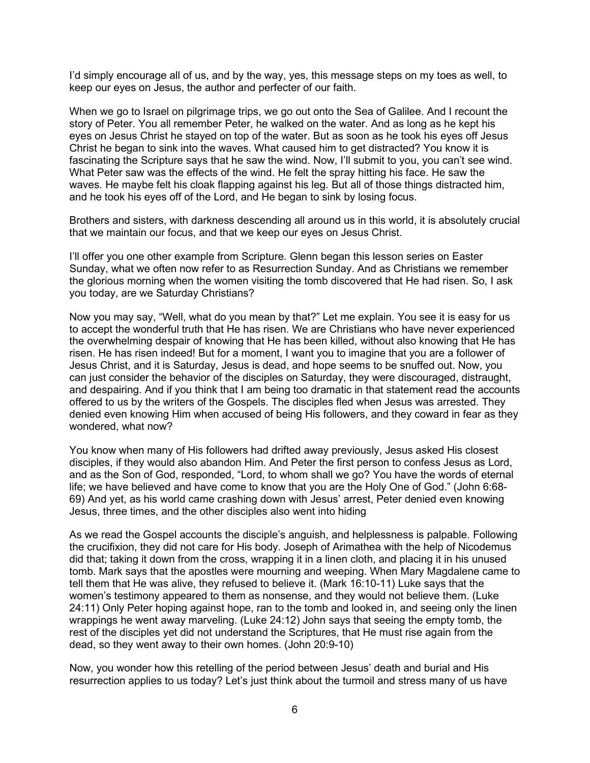I'd simply encourage all of us, and by the way, yes, this message steps on my toes as well, to keep our eyes on Jesus, the author and perfecter of our faith.

When we go to Israel on pilgrimage trips, we go out onto the Sea of Galilee. And I recount the story of Peter. You all remember Peter, he walked on the water. And as long as he kept his eyes on Jesus Christ he stayed on top of the water. But as soon as he took his eyes off Jesus Christ he began to sink into the waves. What caused him to get distracted? You know it is fascinating the Scripture says that he saw the wind. Now, I'll submit to you, you can't see wind. What Peter saw was the effects of the wind. He felt the spray hitting his face. He saw the waves. He maybe felt his cloak flapping against his leg. But all of those things distracted him, and he took his eyes off of the Lord, and He began to sink by losing focus.

Brothers and sisters, with darkness descending all around us in this world, it is absolutely crucial that we maintain our focus, and that we keep our eyes on Jesus Christ.

I'll offer you one other example from Scripture. Glenn began this lesson series on Easter Sunday, what we often now refer to as Resurrection Sunday. And as Christians we remember the glorious morning when the women visiting the tomb discovered that He had risen. So, I ask you today, are we Saturday Christians?

Now you may say, "Well, what do you mean by that?" Let me explain. You see it is easy for us to accept the wonderful truth that He has risen. We are Christians who have never experienced the overwhelming despair of knowing that He has been killed, without also knowing that He has risen. He has risen indeed! But for a moment, I want you to imagine that you are a follower of Jesus Christ, and it is Saturday, Jesus is dead, and hope seems to be snuffed out. Now, you can just consider the behavior of the disciples on Saturday, they were discouraged, distraught, and despairing. And if you think that I am being too dramatic in that statement read the accounts offered to us by the writers of the Gospels. The disciples fled when Jesus was arrested. They denied even knowing Him when accused of being His followers, and they coward in fear as they wondered, what now?

You know when many of His followers had drifted away previously, Jesus asked His closest disciples, if they would also abandon Him. And Peter the first person to confess Jesus as Lord, and as the Son of God, responded, "Lord, to whom shall we go? You have the words of eternal life; we have believed and have come to know that you are the Holy One of God." (John 6:68- 69) And yet, as his world came crashing down with Jesus' arrest, Peter denied even knowing Jesus, three times, and the other disciples also went into hiding

As we read the Gospel accounts the disciple's anguish, and helplessness is palpable. Following the crucifixion, they did not care for His body. Joseph of Arimathea with the help of Nicodemus did that; taking it down from the cross, wrapping it in a linen cloth, and placing it in his unused tomb. Mark says that the apostles were mourning and weeping. When Mary Magdalene came to tell them that He was alive, they refused to believe it. (Mark 16:10-11) Luke says that the women's testimony appeared to them as nonsense, and they would not believe them. (Luke 24:11) Only Peter hoping against hope, ran to the tomb and looked in, and seeing only the linen wrappings he went away marveling. (Luke 24:12) John says that seeing the empty tomb, the rest of the disciples yet did not understand the Scriptures, that He must rise again from the dead, so they went away to their own homes. (John 20:9-10)

Now, you wonder how this retelling of the period between Jesus' death and burial and His resurrection applies to us today? Let's just think about the turmoil and stress many of us have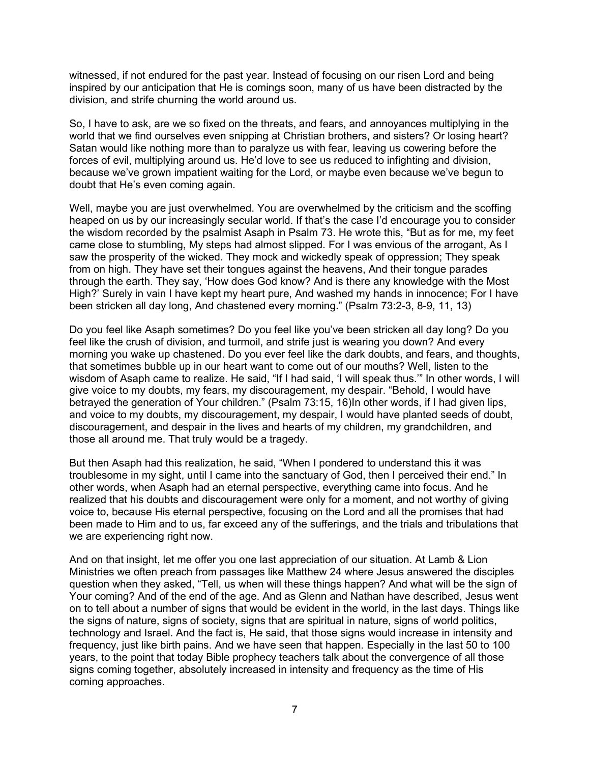witnessed, if not endured for the past year. Instead of focusing on our risen Lord and being inspired by our anticipation that He is comings soon, many of us have been distracted by the division, and strife churning the world around us.

So, I have to ask, are we so fixed on the threats, and fears, and annoyances multiplying in the world that we find ourselves even snipping at Christian brothers, and sisters? Or losing heart? Satan would like nothing more than to paralyze us with fear, leaving us cowering before the forces of evil, multiplying around us. He'd love to see us reduced to infighting and division, because we've grown impatient waiting for the Lord, or maybe even because we've begun to doubt that He's even coming again.

Well, maybe you are just overwhelmed. You are overwhelmed by the criticism and the scoffing heaped on us by our increasingly secular world. If that's the case I'd encourage you to consider the wisdom recorded by the psalmist Asaph in Psalm 73. He wrote this, "But as for me, my feet came close to stumbling, My steps had almost slipped. For I was envious of the arrogant, As I saw the prosperity of the wicked. They mock and wickedly speak of oppression; They speak from on high. They have set their tongues against the heavens, And their tongue parades through the earth. They say, 'How does God know? And is there any knowledge with the Most High?' Surely in vain I have kept my heart pure, And washed my hands in innocence; For I have been stricken all day long, And chastened every morning." (Psalm 73:2-3, 8-9, 11, 13)

Do you feel like Asaph sometimes? Do you feel like you've been stricken all day long? Do you feel like the crush of division, and turmoil, and strife just is wearing you down? And every morning you wake up chastened. Do you ever feel like the dark doubts, and fears, and thoughts, that sometimes bubble up in our heart want to come out of our mouths? Well, listen to the wisdom of Asaph came to realize. He said, "If I had said, 'I will speak thus.'" In other words, I will give voice to my doubts, my fears, my discouragement, my despair. "Behold, I would have betrayed the generation of Your children." (Psalm 73:15, 16)In other words, if I had given lips, and voice to my doubts, my discouragement, my despair, I would have planted seeds of doubt, discouragement, and despair in the lives and hearts of my children, my grandchildren, and those all around me. That truly would be a tragedy.

But then Asaph had this realization, he said, "When I pondered to understand this it was troublesome in my sight, until I came into the sanctuary of God, then I perceived their end." In other words, when Asaph had an eternal perspective, everything came into focus. And he realized that his doubts and discouragement were only for a moment, and not worthy of giving voice to, because His eternal perspective, focusing on the Lord and all the promises that had been made to Him and to us, far exceed any of the sufferings, and the trials and tribulations that we are experiencing right now.

And on that insight, let me offer you one last appreciation of our situation. At Lamb & Lion Ministries we often preach from passages like Matthew 24 where Jesus answered the disciples question when they asked, "Tell, us when will these things happen? And what will be the sign of Your coming? And of the end of the age. And as Glenn and Nathan have described, Jesus went on to tell about a number of signs that would be evident in the world, in the last days. Things like the signs of nature, signs of society, signs that are spiritual in nature, signs of world politics, technology and Israel. And the fact is, He said, that those signs would increase in intensity and frequency, just like birth pains. And we have seen that happen. Especially in the last 50 to 100 years, to the point that today Bible prophecy teachers talk about the convergence of all those signs coming together, absolutely increased in intensity and frequency as the time of His coming approaches.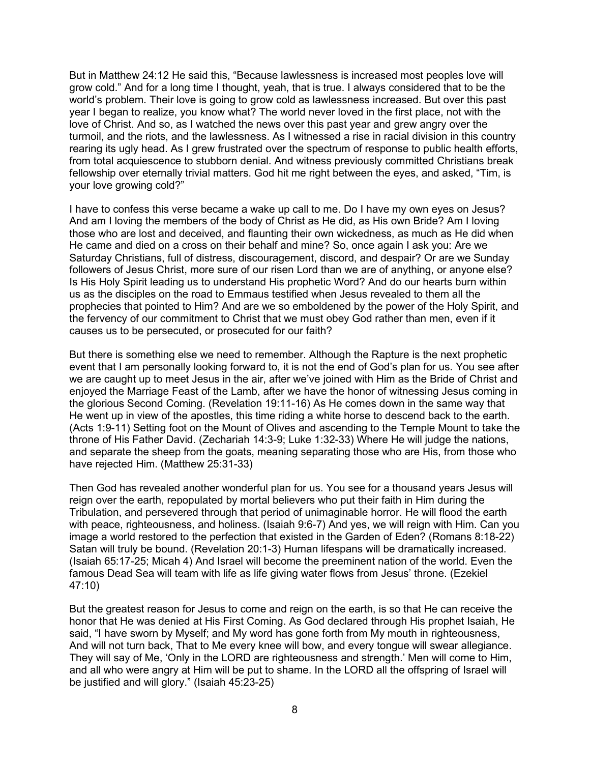But in Matthew 24:12 He said this, "Because lawlessness is increased most peoples love will grow cold." And for a long time I thought, yeah, that is true. I always considered that to be the world's problem. Their love is going to grow cold as lawlessness increased. But over this past year I began to realize, you know what? The world never loved in the first place, not with the love of Christ. And so, as I watched the news over this past year and grew angry over the turmoil, and the riots, and the lawlessness. As I witnessed a rise in racial division in this country rearing its ugly head. As I grew frustrated over the spectrum of response to public health efforts, from total acquiescence to stubborn denial. And witness previously committed Christians break fellowship over eternally trivial matters. God hit me right between the eyes, and asked, "Tim, is your love growing cold?"

I have to confess this verse became a wake up call to me. Do I have my own eyes on Jesus? And am I loving the members of the body of Christ as He did, as His own Bride? Am I loving those who are lost and deceived, and flaunting their own wickedness, as much as He did when He came and died on a cross on their behalf and mine? So, once again I ask you: Are we Saturday Christians, full of distress, discouragement, discord, and despair? Or are we Sunday followers of Jesus Christ, more sure of our risen Lord than we are of anything, or anyone else? Is His Holy Spirit leading us to understand His prophetic Word? And do our hearts burn within us as the disciples on the road to Emmaus testified when Jesus revealed to them all the prophecies that pointed to Him? And are we so emboldened by the power of the Holy Spirit, and the fervency of our commitment to Christ that we must obey God rather than men, even if it causes us to be persecuted, or prosecuted for our faith?

But there is something else we need to remember. Although the Rapture is the next prophetic event that I am personally looking forward to, it is not the end of God's plan for us. You see after we are caught up to meet Jesus in the air, after we've joined with Him as the Bride of Christ and enjoyed the Marriage Feast of the Lamb, after we have the honor of witnessing Jesus coming in the glorious Second Coming. (Revelation 19:11-16) As He comes down in the same way that He went up in view of the apostles, this time riding a white horse to descend back to the earth. (Acts 1:9-11) Setting foot on the Mount of Olives and ascending to the Temple Mount to take the throne of His Father David. (Zechariah 14:3-9; Luke 1:32-33) Where He will judge the nations, and separate the sheep from the goats, meaning separating those who are His, from those who have rejected Him. (Matthew 25:31-33)

Then God has revealed another wonderful plan for us. You see for a thousand years Jesus will reign over the earth, repopulated by mortal believers who put their faith in Him during the Tribulation, and persevered through that period of unimaginable horror. He will flood the earth with peace, righteousness, and holiness. (Isaiah 9:6-7) And yes, we will reign with Him. Can you image a world restored to the perfection that existed in the Garden of Eden? (Romans 8:18-22) Satan will truly be bound. (Revelation 20:1-3) Human lifespans will be dramatically increased. (Isaiah 65:17-25; Micah 4) And Israel will become the preeminent nation of the world. Even the famous Dead Sea will team with life as life giving water flows from Jesus' throne. (Ezekiel 47:10)

But the greatest reason for Jesus to come and reign on the earth, is so that He can receive the honor that He was denied at His First Coming. As God declared through His prophet Isaiah, He said, "I have sworn by Myself; and My word has gone forth from My mouth in righteousness, And will not turn back, That to Me every knee will bow, and every tongue will swear allegiance. They will say of Me, 'Only in the LORD are righteousness and strength.' Men will come to Him, and all who were angry at Him will be put to shame. In the LORD all the offspring of Israel will be justified and will glory." (Isaiah 45:23-25)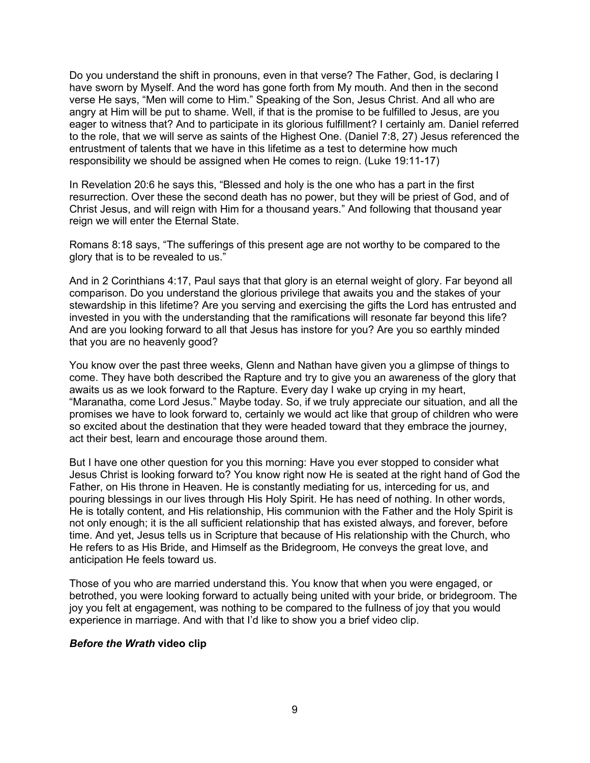Do you understand the shift in pronouns, even in that verse? The Father, God, is declaring I have sworn by Myself. And the word has gone forth from My mouth. And then in the second verse He says, "Men will come to Him." Speaking of the Son, Jesus Christ. And all who are angry at Him will be put to shame. Well, if that is the promise to be fulfilled to Jesus, are you eager to witness that? And to participate in its glorious fulfillment? I certainly am. Daniel referred to the role, that we will serve as saints of the Highest One. (Daniel 7:8, 27) Jesus referenced the entrustment of talents that we have in this lifetime as a test to determine how much responsibility we should be assigned when He comes to reign. (Luke 19:11-17)

In Revelation 20:6 he says this, "Blessed and holy is the one who has a part in the first resurrection. Over these the second death has no power, but they will be priest of God, and of Christ Jesus, and will reign with Him for a thousand years." And following that thousand year reign we will enter the Eternal State.

Romans 8:18 says, "The sufferings of this present age are not worthy to be compared to the glory that is to be revealed to us."

And in 2 Corinthians 4:17, Paul says that that glory is an eternal weight of glory. Far beyond all comparison. Do you understand the glorious privilege that awaits you and the stakes of your stewardship in this lifetime? Are you serving and exercising the gifts the Lord has entrusted and invested in you with the understanding that the ramifications will resonate far beyond this life? And are you looking forward to all that Jesus has instore for you? Are you so earthly minded that you are no heavenly good?

You know over the past three weeks, Glenn and Nathan have given you a glimpse of things to come. They have both described the Rapture and try to give you an awareness of the glory that awaits us as we look forward to the Rapture. Every day I wake up crying in my heart, "Maranatha, come Lord Jesus." Maybe today. So, if we truly appreciate our situation, and all the promises we have to look forward to, certainly we would act like that group of children who were so excited about the destination that they were headed toward that they embrace the journey, act their best, learn and encourage those around them.

But I have one other question for you this morning: Have you ever stopped to consider what Jesus Christ is looking forward to? You know right now He is seated at the right hand of God the Father, on His throne in Heaven. He is constantly mediating for us, interceding for us, and pouring blessings in our lives through His Holy Spirit. He has need of nothing. In other words, He is totally content, and His relationship, His communion with the Father and the Holy Spirit is not only enough; it is the all sufficient relationship that has existed always, and forever, before time. And yet, Jesus tells us in Scripture that because of His relationship with the Church, who He refers to as His Bride, and Himself as the Bridegroom, He conveys the great love, and anticipation He feels toward us.

Those of you who are married understand this. You know that when you were engaged, or betrothed, you were looking forward to actually being united with your bride, or bridegroom. The joy you felt at engagement, was nothing to be compared to the fullness of joy that you would experience in marriage. And with that I'd like to show you a brief video clip.

#### *Before the Wrath* **video clip**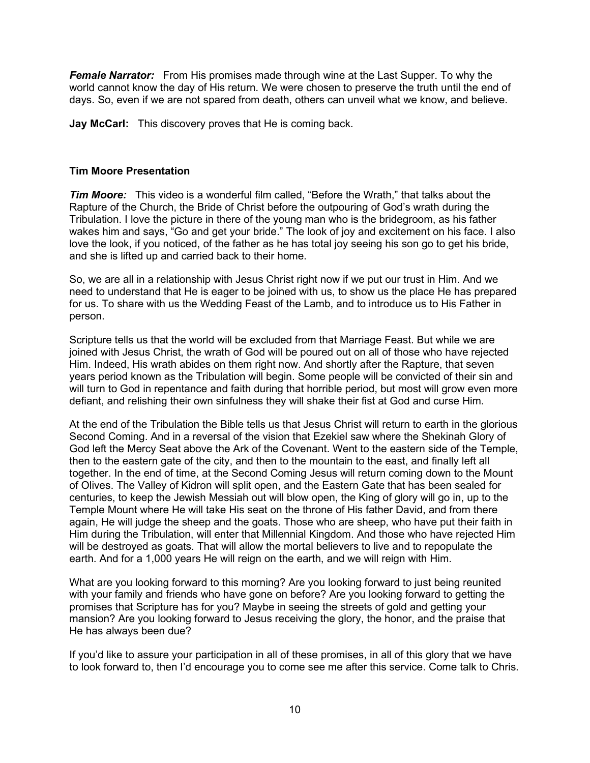*Female Narrator:* From His promises made through wine at the Last Supper. To why the world cannot know the day of His return. We were chosen to preserve the truth until the end of days. So, even if we are not spared from death, others can unveil what we know, and believe.

**Jay McCarl:** This discovery proves that He is coming back.

# **Tim Moore Presentation**

*Tim Moore:* This video is a wonderful film called, "Before the Wrath," that talks about the Rapture of the Church, the Bride of Christ before the outpouring of God's wrath during the Tribulation. I love the picture in there of the young man who is the bridegroom, as his father wakes him and says, "Go and get your bride." The look of joy and excitement on his face. I also love the look, if you noticed, of the father as he has total joy seeing his son go to get his bride, and she is lifted up and carried back to their home.

So, we are all in a relationship with Jesus Christ right now if we put our trust in Him. And we need to understand that He is eager to be joined with us, to show us the place He has prepared for us. To share with us the Wedding Feast of the Lamb, and to introduce us to His Father in person.

Scripture tells us that the world will be excluded from that Marriage Feast. But while we are joined with Jesus Christ, the wrath of God will be poured out on all of those who have rejected Him. Indeed, His wrath abides on them right now. And shortly after the Rapture, that seven years period known as the Tribulation will begin. Some people will be convicted of their sin and will turn to God in repentance and faith during that horrible period, but most will grow even more defiant, and relishing their own sinfulness they will shake their fist at God and curse Him.

At the end of the Tribulation the Bible tells us that Jesus Christ will return to earth in the glorious Second Coming. And in a reversal of the vision that Ezekiel saw where the Shekinah Glory of God left the Mercy Seat above the Ark of the Covenant. Went to the eastern side of the Temple, then to the eastern gate of the city, and then to the mountain to the east, and finally left all together. In the end of time, at the Second Coming Jesus will return coming down to the Mount of Olives. The Valley of Kidron will split open, and the Eastern Gate that has been sealed for centuries, to keep the Jewish Messiah out will blow open, the King of glory will go in, up to the Temple Mount where He will take His seat on the throne of His father David, and from there again, He will judge the sheep and the goats. Those who are sheep, who have put their faith in Him during the Tribulation, will enter that Millennial Kingdom. And those who have rejected Him will be destroyed as goats. That will allow the mortal believers to live and to repopulate the earth. And for a 1,000 years He will reign on the earth, and we will reign with Him.

What are you looking forward to this morning? Are you looking forward to just being reunited with your family and friends who have gone on before? Are you looking forward to getting the promises that Scripture has for you? Maybe in seeing the streets of gold and getting your mansion? Are you looking forward to Jesus receiving the glory, the honor, and the praise that He has always been due?

If you'd like to assure your participation in all of these promises, in all of this glory that we have to look forward to, then I'd encourage you to come see me after this service. Come talk to Chris.